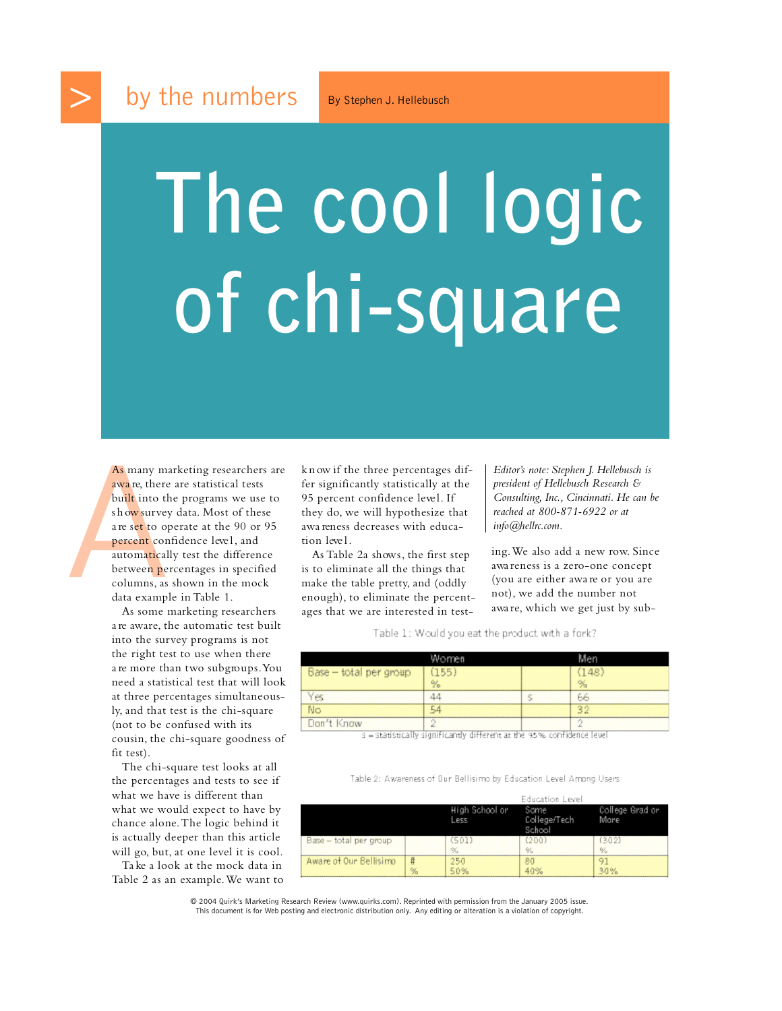## **The cool logic of chi-square**

As many ma<br>
awa re, there<br>
built into th<br>
show survey<br>
are set to op<br>
percent com<br>
automaticall<br>
between per<br>
columns, as<br>
data exampl As many marketing researchers are awa re, there are statistical tests built into the programs we use to s h ow survey data. Most of these a re set to operate at the 90 or 95 percent confidence level, and automatically test the difference between percentages in specified columns, as shown in the mock data example in Table 1.

As some marketing researchers a re aware, the automatic test built into the survey programs is not the right test to use when there are more than two subgroups. You need a statistical test that will look at three percentages simultaneously, and that test is the chi-square (not to be confused with its cousin, the chi-square goodness of fit test).

The chi-square test looks at all the percentages and tests to see if what we have is different than what we would expect to have by chance alone.The logic behind it is actually deeper than this article will go, but, at one level it is cool.

Ta ke a look at the mock data in Table 2 as an example. We want to k n ow if the three percentages differ significantly statistically at the 95 percent confidence level. If they do, we will hypothesize that awa reness decreases with education leve l .

As Table 2a shows, the first step is to eliminate all the things that make the table pretty, and (oddly enough), to eliminate the percentages that we are interested in test*Editor's note: Stephen J. Hellebusch is president of Hellebusch Research & Consulting, Inc., Cincinnati. He can be reached at 800-871-6922 or at info@hellrc.com.*

ing. We also add a new row. Since awa reness is a zero-one concept ( you are either awa re or you are not), we add the number not awa re, which we get just by sub-

Table 1: Would you eat the product with a fork?

|                        | <b>All output</b>       |   |     |
|------------------------|-------------------------|---|-----|
| Base - total per group | 1 F.F.<br>$\frac{9}{6}$ |   | 148 |
|                        |                         | s | F6  |
| No                     |                         |   |     |
| Don't Know             | v.                      |   |     |

5 - statistically significantly different at the 95% confidence level

Table 2: Awareness of Our Bellisimo by Education Level Among Users

|                        |   | High School or<br><b>PSS</b> | Education Level<br>Some<br>College/Tech<br>Schoo | College Grad or<br>More |
|------------------------|---|------------------------------|--------------------------------------------------|-------------------------|
| Base - total per group |   | $\%$                         | $\frac{a}{b}$                                    | $\frac{9}{2}$           |
| Aware of Our Bellisimo | % | 250<br>50%                   | 80<br>40%                                        | 9.<br>30%               |

© 2004 Quirk's Marketing Research Review (www.quirks.com). Reprinted with permission from the January 2005 issue. This document is for Web posting and electronic distribution only. Any editing or alteration is a violation of copyright.